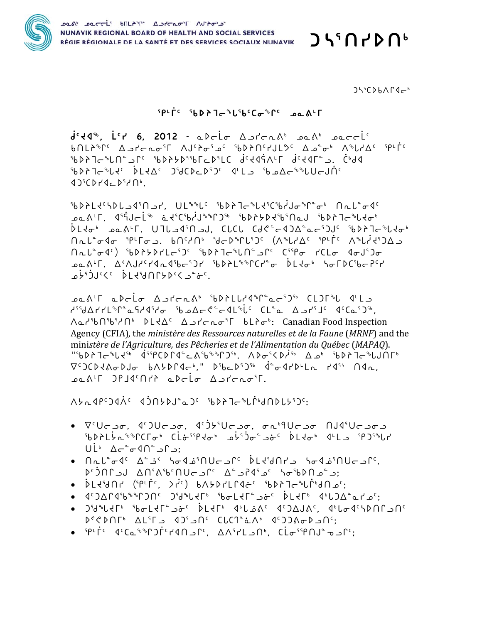

 $J5507D06$ 

 $J55CDh\Lambda\Gamma\Lambda\rightarrow$ 

## **SPLFC SODATESLIGCESPC padLF**

 $d^{c}44^{r}$ ,  $L^{c}r$  6, 2012 - abelo AstenA<sup>6</sup> san<sup>6</sup> sacel<sup>c</sup> **bNLi<sup>s</sup>r**c A - Lenoir AJCion - C 16DiNGLUSC A - Lenoir A - Lenoir E God's Carp in Atadi Julian Carp is to Aragin in the control in the control in the control in the c {PA}Ja}{C}{C}{{}}{{}}} qrl\_q{q}{{}}{{}}{{}}}}}}{{{}}{{}}}}}}}} 10420742776

<sup>16</sup>0714c14c30 10-071 UL<sup>\$</sup> 100 160716 10076600 10076600 1608 ـمصم<sup>ر</sup>1، ﴿ فَأَوَاجِلُوْ مَعَ الْأَرْضَافِينَ مِنْ الْمُعَامَّةِ وَالْمُؤْمَنِينَ مِنْ الْمَصْرَةِ و PL4σʰ هو۵٬۲۲ UJUف۹٬۲۵ الد CUCL CJ۴٬۲۵۵٬۵۲٬۶۵۷٬۰۰۵ به ۱۰۵۹٬۲ ∩ﯩﻠﯩ<sup>ﻰ</sup>ﻩ٩ﻩ <sup>ק</sup>1-1-ﻩﺕ. 6∩;ﺍﻩ <sup>ק</sup>2-ﻩ،ﺭﻩﺭ;)ﺩ (∧،ﺭﻩ<del>ﺩﻩ ﺑ</del>ﻪﻟﺰﺩ ∧،ﺭﺍ **Oct<sup>e</sup> of Septimes** September 10 and the City of Captive Chapter 10 and the October 10 and the October 10 and the ᢒᡆ᠊᠔ᢣᠮ᠂᠂᠘᠈᠕᠕᠈᠄ᡕᢂᡅᡏ᠗ᡔ᠑ᢣ᠂᠖᠐ᢣ᠘ᢐᡑᡗᢗ᠇ᡃᢛ*᠊᠂*ᢧ᠘ᡪᠥᡃ᠂ᡕᠣᠮ**ᢧᢗ**᠍᠖ᡔ᠍᠌᠀᠊ a°+a−10 a−2′V<10 a−2′VC^{2}}

۳٬۶۵۸+۲۲۱۹۵۰۰ م ۲٬۶۵۸+۲۵۰۰ میلی د ۲۵۰۵+۲۵۰۰ م ۲٬۶۵۸+۲۵۰۰ میلی د ۲۰۶۵+۲۰۲۸+۲۵۰ Aم العَيْمَانِ العَيْمَانِ Aa العَيْمَانِ العَيْمَانِ Aa isham Iboa no inspection Agency (CFIA), the ministère des Ressources naturelles et de la Faune (MRNF) and the ministère de l'Agriculture, des Pêcheries et de l'Alimentation du Québec (MAPAQ). "?" کام کار پارا او پارا کو دی پارا کام برای تهران کام کام ایس است که است کام کام کام کام کام کام ک  $\nabla^c$   $\nabla^c$   $\nabla^c$   $\nabla^c$   $\nabla^c$   $\nabla^c$   $\nabla^c$   $\nabla^c$   $\nabla^c$   $\nabla^c$   $\nabla^c$   $\nabla^c$   $\nabla^c$   $\nabla^c$   $\nabla^c$   $\nabla^c$   $\nabla^c$   $\nabla^c$   $\nabla^c$   $\nabla^c$   $\nabla^c$   $\nabla^c$   $\nabla^c$   $\nabla^c$   $\nabla^c$   $\nabla^c$   $\nabla^c$   $\nabla^$ **PART DELAGATE** abrio Apropri

^\~YPC)d\C d)N\}J^&)C {b}}J~``U\`dNDL\{}}C:

- $\bullet$   $\nabla^c U \subset \neg \sigma$ .  $4^c U \subset \neg \sigma$ ,  $4^c U \subset \neg \sigma$ ,  $\sigma \sim \neg \theta U \subset \neg \sigma$   $\cap$ ็งปลาง "BDAL ว่าง วง่ะ วัน ว่าว่าง ว่าง จะ ว่าว่าง "P  $U\dot{L}^{\circ}$   $\Delta \tau^{\circ} \sigma \Omega \Omega^{\circ} \partial \Omega$ :
- , ۲<sup>۰</sup> د حال∩ئفاګ<del>ه</del>\ د حال∩ائ $\Gamma$  کار حال∩ئفاګه\ کنگ کا<del>ه</del>°ا :د ۵۰ ماه کو که ۲۹ کو که ۵۰ کار میل ۲۰ کار ۱۵ د ۱۵۲ کو
- DLI{SAN (SPLFC, >i<sup>c</sup>) babdillidec sbdfile\$lic\$dn\_c;
- 14)∆14°4°C)∩ن )°ظ الحل المعادلات عنه في المحل المعادين.
- $P^e$   $P^e$   $P^e$   $P^e$   $P^e$   $P^e$   $P^e$   $P^e$   $P^e$   $P^e$   $P^e$   $P^e$   $P^e$   $P^e$   $P^e$   $P^e$   $P^e$   $P^e$   $P^e$   $P^e$   $P^e$   $P^e$   $P^e$   $P^e$   $P^e$   $P^e$   $P^e$   $P^e$   $P^e$   $P^e$   $P^e$   $P^e$   $P^e$   $P^e$   $P^e$   $P^e$   $P^e$
- <sup>ק</sup>נות<sup>ק</sup>יקוף, בר<sup>קי</sup>ים, "חב חף לאמ", לופייקומים לאוקיים לא היא המונאים לא היא המונא היא היא היא ה